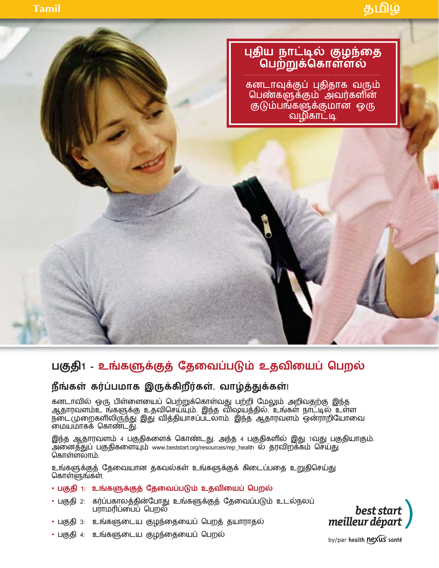

# பகுதி1 - உங்களுக்குத் தேவைப்படும் உதவியைப் பெறல்

## **நீங்கள் கர்ப்பமாக இருக்கிறீர்கள். வாழ்த்துக்கள்**!

கனடாவில் ஒரு பிள்ளையைப் பெற்றுக்கொள்வது பற்றி மேலும் அறிவதற்கு இந்த<br>ஆதாரவளம்உ ங்களுக்கு உதவிசெய்யும். இந்த விஷயத்தில், உங்கள் நாட்டில் உள்ள ஆதார்வளமஉ ஙகளுக்கு உதவடுசயபும். இந்த விஷயத்தில், உங்கள் நாட்டில் உள்ள நடைமுறைகளிலிருந்து இது வித்தியாசப்படலாம். இந்த ஆதார்வளம் ஒனராறியோவை மையமாகக கொண்டது.

இந்த ஆதாரவளம் 4 பகுதிகளைக் கொண்டது. அந்த 4 பகுதிகளில் இது 1வது பகுதியாகும். அனைத்துப் பகுதிகளையும் www.beststart.org/resources/rep\_health ல் தரவிறக்கம் செய்து கொள்ளலாம்

உங்களுக்குத் தேவையான தகவல்கள் உங்களுக்குக் கிடைப்பதை உறுதிசெய்து கொள்ளுங்கள்.

## **• பகுதி 1: உங்களுக்குத் தேவைப்படும் உதவியைப் பெறல்**

- பகுதி 2: கர்ப்பகாலத்தின்போது உங்களுக்குத் தேவைப்படும் உடல்நலப் பராமரிப்பைப் பெறல்
- பகுதி 3: உங்களுடைய குழந்தையைப் பெறத் தயாராதல்
- ் பகுதி 4: உங்களுடைய குழந்தையைப் பெறல்

best start meilleur départ

by/par health nexus santé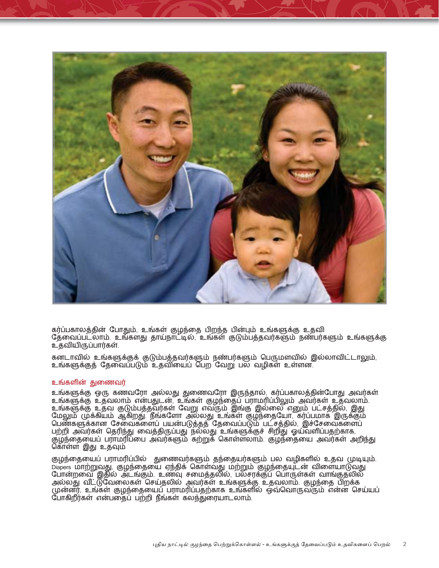

கர்ப்பகாலத்தின் போதும், உங்கள் குழந்தை பிறந்த பின்பும் உங்களுக்கு உதவி தேவைப்படலாம். உங்களது தாய்நாட்டில், உங்கள் குடும்பத்தவர்களும் நண்பர்களும் உங்களுக்கு உ்கவியிருப்பார்கள்

கனடாவில் உங்களுக்குக் குடும்பத்தவர்களும் நண்பர்களும் பெருமளவில் இல்லாவிட்டாலும், ்உங்களுக்குக் கேவைப்படும் உகவியைப் பெற<sup>்</sup>வேறு பல வழிகள் உள்ளன.

### உங்களின் துணைவர்

உங்களுக்கு ஒரு கணவரோ அல்லது துணைவரோ இருந்தால், கர்ப்பகாலத்தின்போது அவர்கள் ்உங்களுக்கு உதவலாம் என்பதுடன், உங்கள் குழந்தைப் பராமரிப்பிலும் அவர்கள் உதவலாம். ்உங்களுக்கு உதவ குடும்பத்தவர்கள் வேறு எவரும் இங்கு இல்லை எனும் பட்சத்தில், இது மேலும் முக்கியம் ஆகிறது நீங்களோ அல்லது உங்கள் குழந்தையோ, கர்ப்பமாக இருக்கும் பெண்களுக்கான சேவைகளைப் பயன்படுத்தத் தேவைப்படும் பட்சத்தில், இச்சேவைகளைப் பற்றி அவர்கள் தெரிந்து வைத்திருப்பது நல்லது உங்களுக்குச் சிறிது ஓய்வளிப்பதற்காக, குழந்தையைப் பராமரிப்பை அவர்களும் கற்றுக் கொள்ளலாம். குழந்தையை அவர்கள் அறிந்து கொள்ள இது உதவும்

குழந்தையைப் பராமரிப்பில் துணைவர்களும் தந்தையர்களும் பல வழிகளில் உதவ முடியும். Diapers மாற்றுவது, குழந்தையை ஏந்திக் கொள்வது மற்றும் குழந்தையுடன் விளையாடுவது போன்றவை இதுல அடங்கும். உணவு சமைத்தல்ல, பலசர்க்குப் பொருள்கள் வாங்குதல்ல அல்லது வட்டுவேலைகள் செய்தலில் அவர்கள் உங்களுக்கு உதவலாம். குழந்தை புறக்க முன்னர், உங்கள் குழந்தையைப் பராமரிப்பதற்காக உங்களில் ஒவ்வொருவரும் என்ன செய்யப் ோகிறீர்கள் என்பதைப் பற்றி நீங்கள் கலந்துரையாடலாம்.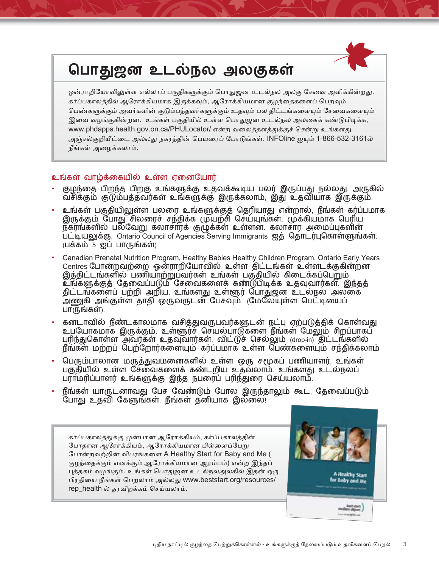# பொதுஜன உடல்நல அலகுகள்

ஒன்ராறியோவிலுள்ள எல்லாப் பகுதிகளுக்கும் பொதுஜன உடல்நல அலகு சேவை அளிக்கின்றது. கர்ப்பகாலத்தில் ஆரோக்கியமாக இருக்கவும், ஆரோக்கியமான குழந்தைகளைப் பெறவும் பெண்களுக்கும் அவர்களின் குடும்பத்தவர்களுக்கும் உதவும் பல திட்டங்களையும் சேவைகளையும் இவை வழங்குகின்றன. உங்கள் பகுதியில் உள்ள பொதுஜன உடல்நல அலகைக் கண்டுபிடிக்க, www.phdapps.health.gov.on.ca/PHULocator/ என்ற வலைத்தளத்துக்குச் சென்று உங்களது அஞ்சல்குறியீட்டை அல்லது நகரத்தின் பெயரைப் போடுங்கள். INFOline ஐயும் 1-866-532-3161ல் நீங்கள் அமைக்கலாம்.

### உங்கள் வாழ்க்கையில் உள்ள ஏனையோர்

- குழந்தை பிறந்த பிறகு உங்களுக்கு உதவக்கூடிய பலர் இருப்பது நல்லது. அருகில் வசிக்கும் குடும்பத்தவர்கள் உங்களுக்கு இருக்கலாம், இது உதவியாக இருக்கும்.
- உங்கள் பகுதியிலுள்ள பலரை உங்களுக்குத் தெரியாது என்றால், நீங்கள் கர்ப்பமாக இருக்கும் போது சிலரைச் சந்திக்க முயற்சி செய்யுங்கள். முக்கியமாக பெரிய நகரங்களில் பல்வேறு கலாசாரக் குழுக்கள் உள்ளன. கலாசார அமைப்புகளின் பட்டியலுக்கு, Ontario Council of Agencies Serving Immigrants ஜத் தொடர்புகொள்ளுங்கள்.  $(L$ க்கம் 5 ஜப் பாருங்கள்)
- Canadian Prenatal Nutrition Program, Healthy Babies Healthy Children Program, Ontario Early Years Centres போன்றவற்றை ஒன்ராறியோவில் உள்ள திட்டங்கள் உள்ளடக்குகின்றன இத்திட்டங்களில் பணியாற்றுபவர்கள் உங்கள் பகுதியில் கிடைக்கப்பெறும்  $\stackrel{\ldots}{\cong}$ ங்களுக்குத் தேவைப்படும் சேவைகளைக் கண்டுபிடிக்க உதவுவார்கள். இந்தத் திட்டங்களைப் பற்றி அறிய, உங்களது உள்ளூர் பொதுஜன உடல்நல அலகை அணுகி அங்குள்ள தாதி ஒருவருடன் பேசவும். (மேலேயுள்ள பெட்டியைப் பாருங்கள்).
- கனடாவில் நீண்டகாலமாக வசித்துவருபவர்களுடன் நட்பு ஏற்படுத்திக் கொள்வது உபயோகமாக இருக்கும். உள்ளூர்ச் செயல்பாடுகளை நீங்கள் மேலும் சிறப்பாகப் புரிந்துகொள்ள அவர்கள் உதவுவார்கள். விட்டுச் செல்லும் (drop-in) திட்டங்களில் நீங்கள் மற்றப் பெற்றோர்களையும் கர்ப்பமாக உள்ள பெண்களையும் சந்கிக்கலாம்
- பெரும்பாலான மருத்துவமனைகளில் உள்ள ஒரு சமூகப் பணியாளர். உங்கள் பகுதியில் உள்ள சேவைகளைக் கண்டறிய உதவலாம். உங்களது உடல்நலப் பராமரிப்பாளர் உங்களுக்கு இந்த நபரைப் பரிந்துரை செய்யலாம்.
- நீங்கள் யாருடனாவது பேச வேண்டும் போல இருந்தாலும் கூட, தேவைப்படும் ்போது உதவி கேளுங்கள். நீங்கள் தனியாக இல்லை!

கர்ப்பகாலத்துக்கு முன்பான ஆரோக்கியம், கர்ப்பகாலத்தின் போதான ஆரோக்கியம், ஆரோக்கியமான பிள்ளைப்பேறு போன்றவற்றின் விபரங்களை A Healthy Start for Baby and Me ( குழந்தைக்கும் எனக்கும் ஆரோக்கியமான ஆரம்பம்) என்ற இந்தப் புத்தகம் வழங்கும். உங்கள் பொதுஜன உடல்நலஅலகில் இதன் ஒரு பிரதியை நீங்கள் பெறலாம் அல்லது www.beststart.org/resources/ rep\_health ல் தரவிறக்கம் செய்யலாம்.

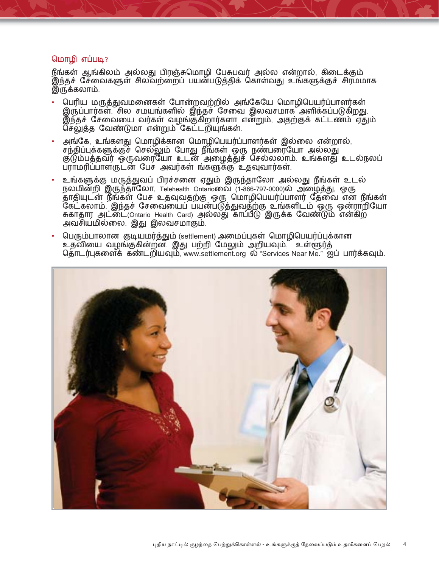### மொழி எப்படி?

நீங்கள் ஆங்கிலம் அல்லது பிரஞ்சுமொழி பேசுபவர் அல்ல என்றால், கிடைக்கும் இந்தச் சேவைகளுள் சிலவற்றைப் பயன்படுத்திக் கொள்வது உங்களுக்குச் சிரமமாக இருக்கலாம்.

- பெரிய மருத்துவமனைகள் போன்றவற்றில் அங்கேயே மொழிபெயர்ப்பாளர்கள் இருப்பார்கள் சில சமயங்களில் இந்தச் சேவை இலவசமாக அளிக்கப்படுகிறது. இந்தச் சேவையை வர்கள் வழங்குகறார்களா என்றும், அதற்குக் கட்டணம் ஏதும் செலுத்த வேண்டுமா என்றும் கேட்டறியுங்கள்.
- அங்கே, உங்களது மொழிக்கான மொழிபெயர்ப்பாளர்கள் இல்லை என்றால், சந்திப்புக்களுக்குச் செல்லும் போது நீங்கள் ஒரு நண்பரையோ அல்லது குடும்பத்தவர் ஒருவரையோ உடன் அழைத்துச் செல்லலாம். உங்களது உடல்நலப் பராமரிப்பாளருடன் பேச அவர்கள் ங்களுக்கு உதவுவார்கள்.
- உங்களுக்கு மருத்துவப் பிரச்சனை ஏதும் இருந்தாலோ அல்லது நீங்கள் உடல் நலமின்றி இருந்தாலோ, Telehealth Ontarioலை (1-866-797-0000)ல் அழைத்து, ஒரு தாதியுடன் நீங்கள் பேச உதவுவதற்கு ஒரு மொழிபெயர்ப்பாளர் தேவை என நீங்கள்  $\tilde{\bf G}$ கட்கலாம். இந்தச் சேவையைப் பயன்படுத்துவதற்கு உங்களிடம் ஒரு ஒன்ராறியோ சுகாதார அட்டை்(Ontario Health Card) அல்லது காப்பீடு இருக்க வேண்டும் என்கிற அவசியமில்லை. இது இலவசமாகும்.
- பெரும்பாலான குடியமர்த்தும் (settlement) அமைப்புகள் மொழிபெயர்ப்புக்கான உதவியை வழங்குகின்றன. இது பற்றி மேலும் அறியவும், உள்ளூர்த் தொடர்புகளைக் கண்டறியவும், www.settlement.org ல் "Services Near Me." ஐப் பார்க்கவும்.

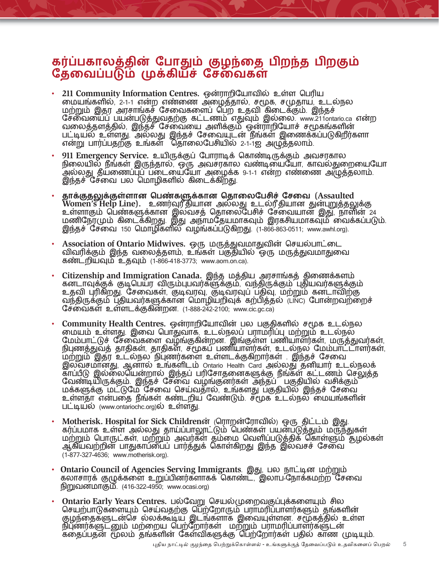## கர்ப்பகாலத்தின் போதும் குழந்தை பிறந்த பிறகும் தேவைப்படும் முக்கிய்ச் சேவைகள்

- 211 Community Information Centres. ஒன்ராறியோவில் உள்ள பெரிய \_MNuBRÖÊÜ×Û×ÛÊ<}PÊ<z\_HÊ6\_S{IXÖÊD¬BÖÊD«IXNÖÊ:GJQÊ மற்றும் இதர அரசாங்கச் சேவைகளைப் பெற உதவி கிடைக்கும். இந்தச் சேவையைப் பயன்படுத்துவதற்கு கட்டணம் எதுவும் இல்லை www.211ontario.ca என்ற வலைத்தளத்தில், இந்தச் சேவையை அளிக்கும் ஒன்ராறியோச் சமூகங்களின் பட்டியல் உள்ளது. அல்லது இந்தச் சேவையுடன் நங்கள் இணைக்கப்படுகிறர்களா என்று பார்ப்பதற்கு உங்கள் தொலைபேசியில் 2-1-1ஐ அழுத்தலாம்.
- 911 Emergency Service. உயிருக்குப் போராடிக் கொண்டிருக்கும் அவசரகால நுலையில் நங்கள இருந்தால், ஒரு அவசர்கால் வண்டியையோ, காவலதுறையையோ அல்லது தயணைப்புப் படையையோ அழைக்க 9-1-1 என்ற எண்ணை அழுத்தலாம். இந்தச் சேவை பல மொழிகளில் கிடைக்கிறது.
- ĺÊÊÊ**IXtI´tRXKÊ]LzB¶tBXKÊ]IX\_Q^LDYvÊ^D\_T (Assaulted**  Women's Help Line). உணர்வுரீதியான அல்லது உடல்ரீதியான துன்புறுத்தலுக்கு உள்ளாகும் பெண்களுக்கான இலவசத் தொலைபேசுச் சேவையான இது, நாள்ன 24 மண்ஞேர்மும் கடைக்கறது. இது அநாமதேயமாகவும் இரக்சியமாகவும் வைக்கப்படும். இந்தச் சேவை 150 பெ்ாழிகளில் வழங்கப்படுகிறது. (1-866-863-0511; www.awhl.org).
- Association of Ontario Midwives. ஒரு மருத்துவமாதுவின் செயல்பாட்டை விவரிக்கும் இந்த வலைத்தளம், உங்கள் பகுதியில் ஒரு மருத்துவமாதுவை கண்டறியவும் உதவும் (1-866-418-3773; www.aom.on.ca).
- Citizenship and Immigration Canada. இந்த மத்திய அரசாங்கத் திணைக்களம் கனடாவுக்குக் குடிபெயர விரும்புபவர்களுக்கும், வந்திருக்கும் புதியவர்களுக்கும் உதவி புரிகிறது. சேவைகள், குடிவரவு, குடிவரவுப் பதிவு, மற்றும் கனடாவிற்கு வந்திருக்கும் புதியவர்களுக்கான மொழியறிவுக் கற்பித்தல் (பா்) போன்றவற்றைச் சேவைகள் உள்ளடக்குகின்றன.  $(1-888-242-2100)$ ; www.cic.gc.ca)
- Community Health Centres. ஒன்ராறியோவின் பல பகுதிகளில் சமூக உடல்நல மையம் உள்ளது. இவை பொதுவாக, உடல்நலப் பராமரிப்பு மற்றும் உடல்நல மேம்பாட்டுச் சேவைகளை வழங்குகின்றன. இங்குள்ள பணியாளர்கள், மருத்துவர்கள், நிபுணத்துவத் தாதிகள், தாதிகள், சமூகப் பணியாளர்கள், உடல்நல மேம்பாட்டாளர்கள், ்மற்றும் இதர உடல்நல நிபுணர்களை உள்ளடக்குகிறார்கள் . இந்தச் சேவை இலவசமானது, ஆனால் உங்களிடம் Ontario Health Card அல்லது தனியார் உடல்நலக் காப்பீடு இல்லையென்றால் இந்தப் பரிசோதனைகளுக்கு நீங்கள் கட்டணம் செலுத்த ்வண்டியருக்கும். இந்தச் சேவை வழங்குனர்கள் அந்தப பகுதியில் வசுக்கும் மக்களுக்கு மட்டுமே சேவை செய்வதால், உங்களது பகுதியில் இந்தச் சேவை உள்ளதா என்பதை நீங்கள் கண்டறிய வேண்டும். சமூக உடல்நல் மையங்களின் பட்டியல் (www.ontariochc.org)ல் உள்ளது.
- Motherisk. Hospital for Sick Childrenன் (ரொறன்ரோவில்) ஒரு திட்டம் இது. கர்ப்பமாக உள்ள அல்லது தாய்ப்பாலூட்டும் பெண்கள் பயன்படுத்தும் மருந்துகள் மற்றும் பொருடகள் மற்றும் அவர்கள் தம்மை வெளிப்படுத்திக் கொள்ளும் தழல்கள் ஆகியவற்றின் பாதுகாப்பைப் பார்த்துக் கொள்கிறது இந்த இலவச்ச சேவை  $(1-877-327-4636;$  www.motherisk.org).
- **Ontario Council of Agencies Serving Immigrants** இது, பல நாட்டின மற்றும் கலாசாரக் குழுக்களை உறுப்பினர்களாகக் கொண்ட, இலாப நோக்கமற்ற சேவை நிறுவனமாகும்.  $(416-322-4950)$ ; www.ocasi.org)
- **Ontario Early Years Centres.** பல்வேறு செயல்முறைவகுப்புக்களையும் சில செயற்பாடுகளையும் செய்வதற்கு பெற்றோரும் பராமரிப்பாளர்களும் தங்களின் குழந்தைகளுடன்பச் லலக்கூடிய இடங்களாக இவையுள்ளன. சமூகத்துல<sub>.</sub>உள்ள ந்புணர்களுடனும் மற்றைய பெற்றோர்கள<sub>்</sub> மற்றும் பராமர்ப்பாளர்களுடன கதைப்பதன் மூலம் தங்களின் கேள்விகளுக்கு பெற்றோர்கள் பதில் காண முடியும்.